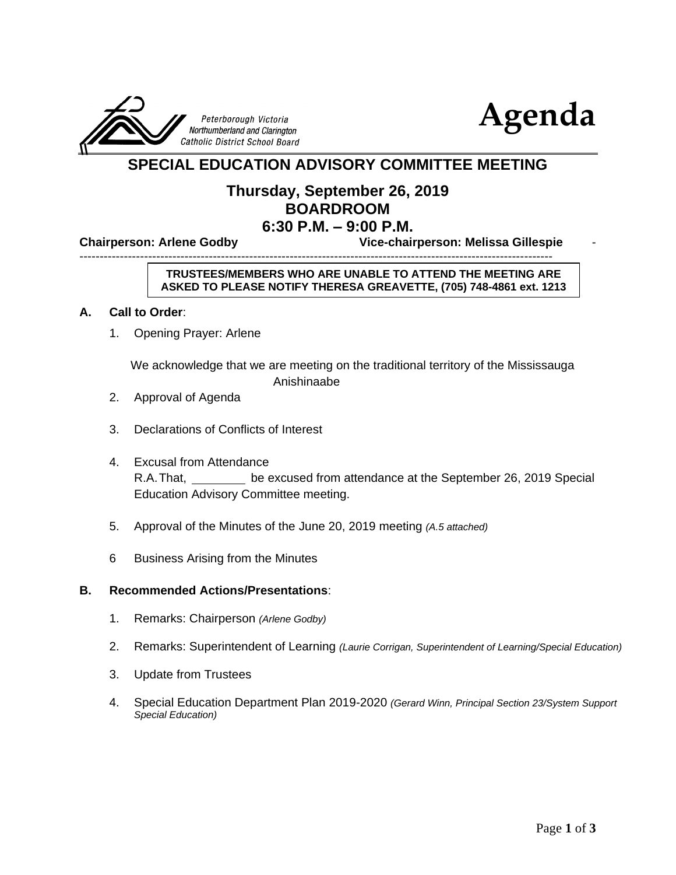



# **SPECIAL EDUCATION ADVISORY COMMITTEE MEETING**

## **Thursday, September 26, 2019 BOARDROOM 6:30 P.M. – 9:00 P.M.**

**Chairperson: Arlene Godby Vice-chairperson: Melissa Gillespie** -

---------------------------------------------------------------------------------------------------------------------

#### **TRUSTEES/MEMBERS WHO ARE UNABLE TO ATTEND THE MEETING ARE ASKED TO PLEASE NOTIFY THERESA GREAVETTE, (705) 748-4861 ext. 1213**

#### **A. Call to Order**:

1. Opening Prayer: Arlene

We acknowledge that we are meeting on the traditional territory of the Mississauga

Anishinaabe

- 2. Approval of Agenda
- 3. Declarations of Conflicts of Interest
- 4. Excusal from Attendance R.A.That, be excused from attendance at the September 26, 2019 Special Education Advisory Committee meeting.
- 5. Approval of the Minutes of the June 20, 2019 meeting *(A.5 attached)*
- 6 Business Arising from the Minutes

#### **B. Recommended Actions/Presentations**:

- 1. Remarks: Chairperson *(Arlene Godby)*
- 2. Remarks: Superintendent of Learning *(Laurie Corrigan, Superintendent of Learning/Special Education)*
- 3. Update from Trustees
- 4. Special Education Department Plan 2019-2020 *(Gerard Winn, Principal Section 23/System Support Special Education)*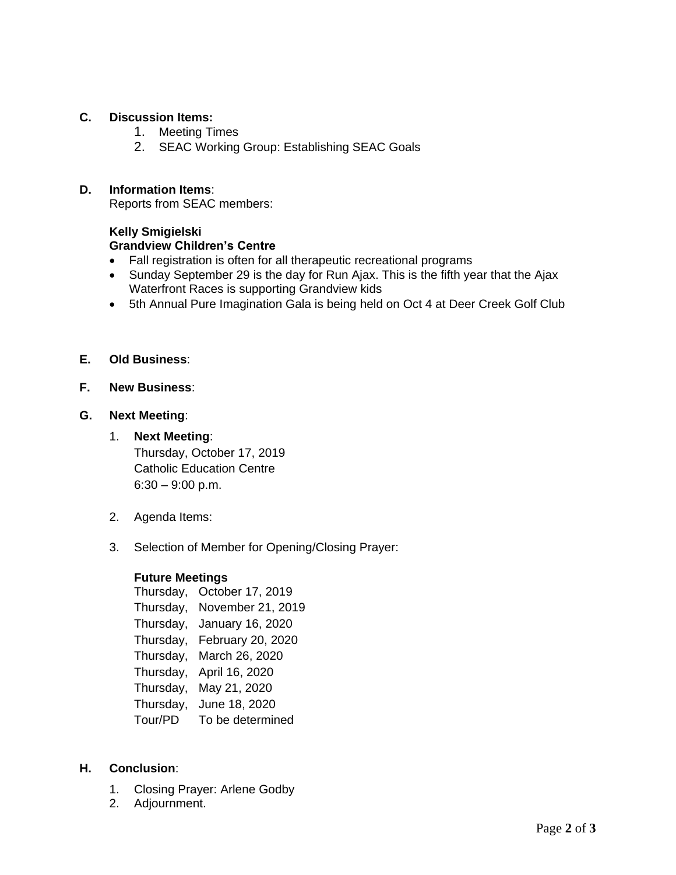### **C. Discussion Items:**

- 1. Meeting Times
- 2. SEAC Working Group: Establishing SEAC Goals

#### **D. Information Items**:

Reports from SEAC members:

### **Kelly Smigielski Grandview Children's Centre**

- Fall registration is often for all therapeutic recreational programs
- Sunday September 29 is the day for Run Ajax. This is the fifth year that the Ajax Waterfront Races is supporting Grandview kids
- 5th Annual Pure Imagination Gala is being held on Oct 4 at Deer Creek Golf Club

#### **E. Old Business**:

#### **F. New Business**:

#### **G. Next Meeting**:

- 1. **Next Meeting**: Thursday, October 17, 2019 Catholic Education Centre  $6:30 - 9:00$  p.m.
- 2. Agenda Items:
- 3. Selection of Member for Opening/Closing Prayer:

#### **Future Meetings**

| Thursday, | October 17, 2019  |  |
|-----------|-------------------|--|
| Thursday, | November 21, 2019 |  |
| Thursday, | January 16, 2020  |  |
| Thursday, | February 20, 2020 |  |
| Thursday, | March 26, 2020    |  |
| Thursday, | April 16, 2020    |  |
| Thursday, | May 21, 2020      |  |
| Thursday, | June 18, 2020     |  |
| Tour/PD   | To be determined  |  |

#### **H. Conclusion**:

- 1. Closing Prayer: Arlene Godby
- 2. Adjournment.